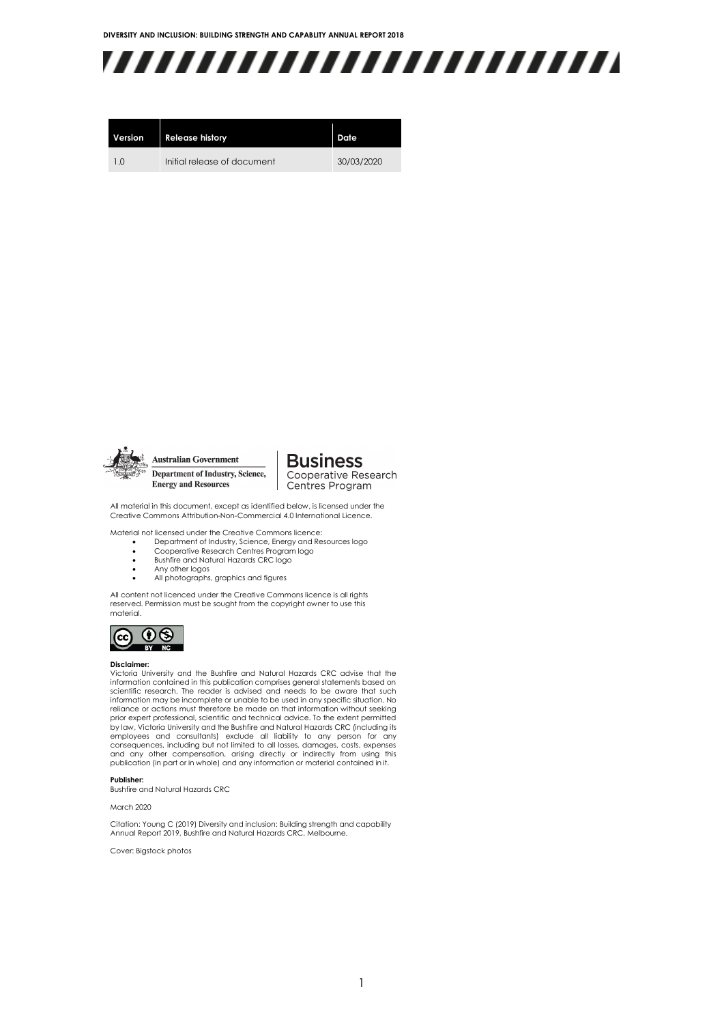

| Version | <b>Release history</b>      | Date       |
|---------|-----------------------------|------------|
| 1 O     | Initial release of document | 30/03/2020 |



**Australian Government** Department of Industry, Science, **Energy and Resources** 

**Business** Cooperative Research Centres Program

All material in this document, except as identified below, is licensed under the Creative Commons Attribution-Non-Commercial 4.0 International Licence.

Material not licensed under the Creative Commons licence:

- Department of Industry, Science, Energy and Resources logo Cooperative Research Centres Program logo
	- Bushfire and Natural Hazards CRC logo
- Any other logos
- All photographs, graphics and figures

All content not licenced under the Creative Commons licence is all rights reserved. Permission must be sought from the copyright owner to use this material.



#### **Disclaimer:**

Victoria University and the Bushfire and Natural Hazards CRC advise that the information contained in this publication comprises general statements based on scientific research. The reader is advised and needs to be aware that such information may be incomplete or unable to be used in any specific situation. No reliance or actions must therefore be made on that information without seeking prior expert professional, scientific and technical advice. To the extent permitted by law, Victoria University and the Bushfire and Natural Hazards CRC (including its employees and consultants) exclude all liability to any person for any<br>consequences, including.but not limited to all losses, damages, costs, expenses<br>and any other compensation, arising directly or indirectly from using t publication (in part or in whole) and any information or material contained in it.

#### **Publisher:**

Bushfire and Natural Hazards CRC

March 2020

Citation: Young C (2019) Diversity and inclusion: Building strength and capability Annual Report 2019, Bushfire and Natural Hazards CRC, Melbourne.

Cover: Bigstock photos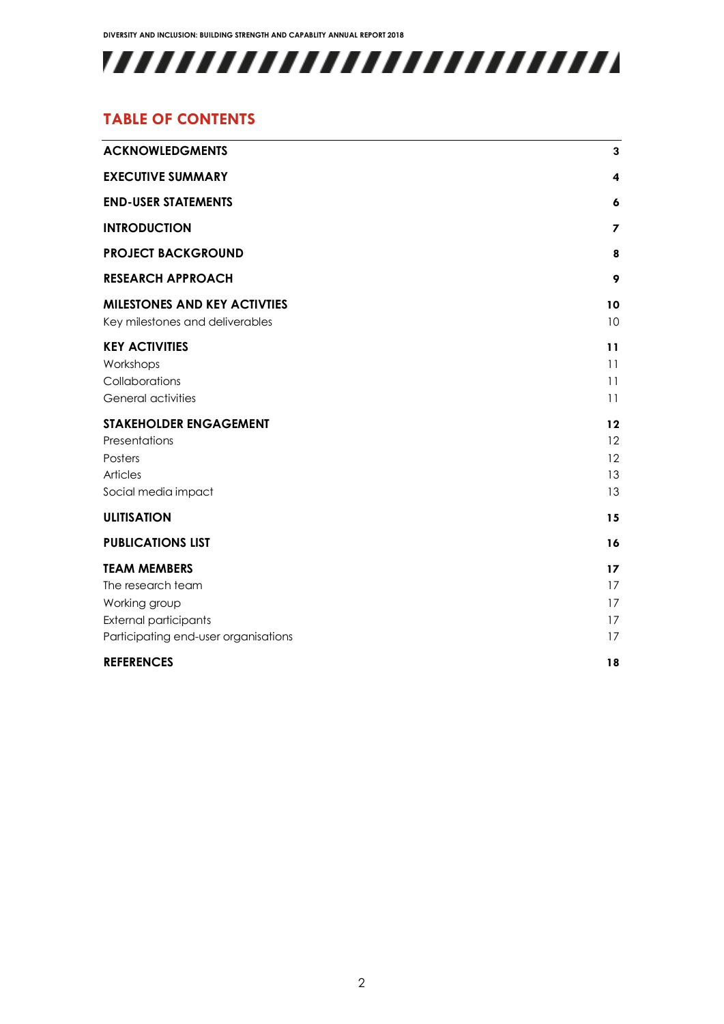

### **TABLE OF CONTENTS**

| <b>ACKNOWLEDGMENTS</b>                                                                                                            | 3                          |
|-----------------------------------------------------------------------------------------------------------------------------------|----------------------------|
| <b>EXECUTIVE SUMMARY</b>                                                                                                          | 4                          |
| <b>END-USER STATEMENTS</b>                                                                                                        | 6                          |
| <b>INTRODUCTION</b>                                                                                                               | $\overline{\mathbf{z}}$    |
| <b>PROJECT BACKGROUND</b>                                                                                                         | 8                          |
| <b>RESEARCH APPROACH</b>                                                                                                          | 9                          |
| <b>MILESTONES AND KEY ACTIVTIES</b><br>Key milestones and deliverables                                                            | 10<br>10                   |
| <b>KEY ACTIVITIES</b><br>Workshops<br>Collaborations<br>General activities                                                        | 11<br>11<br>11<br>11       |
| <b>STAKEHOLDER ENGAGEMENT</b><br>Presentations<br>Posters<br><b>Articles</b><br>Social media impact                               | 12<br>12<br>12<br>13<br>13 |
| <b>ULITISATION</b>                                                                                                                | 15                         |
| <b>PUBLICATIONS LIST</b>                                                                                                          | 16                         |
| <b>TEAM MEMBERS</b><br>The research team<br>Working group<br><b>External participants</b><br>Participating end-user organisations | 17<br>17<br>17<br>17<br>17 |
| <b>REFERENCES</b>                                                                                                                 | 18                         |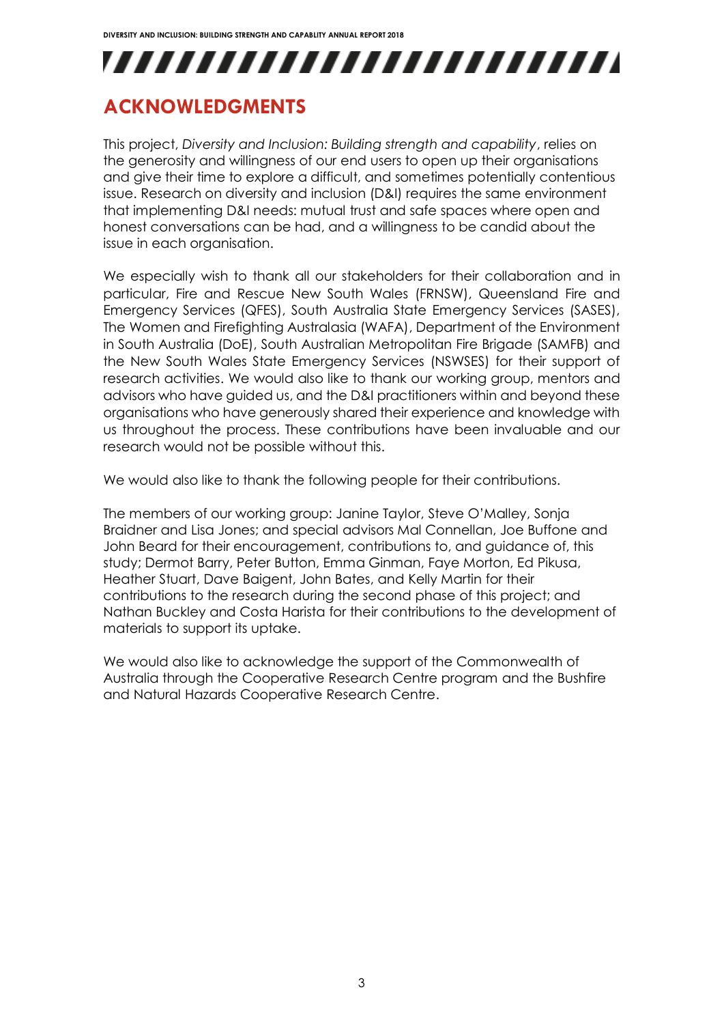## <span id="page-3-0"></span>**ACKNOWLEDGMENTS**

This project, *Diversity and Inclusion: Building strength and capability*, relies on the generosity and willingness of our end users to open up their organisations and give their time to explore a difficult, and sometimes potentially contentious issue. Research on diversity and inclusion (D&I) requires the same environment that implementing D&I needs: mutual trust and safe spaces where open and honest conversations can be had, and a willingness to be candid about the issue in each organisation.

We especially wish to thank all our stakeholders for their collaboration and in particular, Fire and Rescue New South Wales (FRNSW), Queensland Fire and Emergency Services (QFES), South Australia State Emergency Services (SASES), The Women and Firefighting Australasia (WAFA), Department of the Environment in South Australia (DoE), South Australian Metropolitan Fire Brigade (SAMFB) and the New South Wales State Emergency Services (NSWSES) for their support of research activities. We would also like to thank our working group, mentors and advisors who have guided us, and the D&I practitioners within and beyond these organisations who have generously shared their experience and knowledge with us throughout the process. These contributions have been invaluable and our research would not be possible without this.

We would also like to thank the following people for their contributions.

The members of our working group: Janine Taylor, Steve O'Malley, Sonja Braidner and Lisa Jones; and special advisors Mal Connellan, Joe Buffone and John Beard for their encouragement, contributions to, and guidance of, this study; Dermot Barry, Peter Button, Emma Ginman, Faye Morton, Ed Pikusa, Heather Stuart, Dave Baigent, John Bates, and Kelly Martin for their contributions to the research during the second phase of this project; and Nathan Buckley and Costa Harista for their contributions to the development of materials to support its uptake.

We would also like to acknowledge the support of the Commonwealth of Australia through the Cooperative Research Centre program and the Bushfire and Natural Hazards Cooperative Research Centre.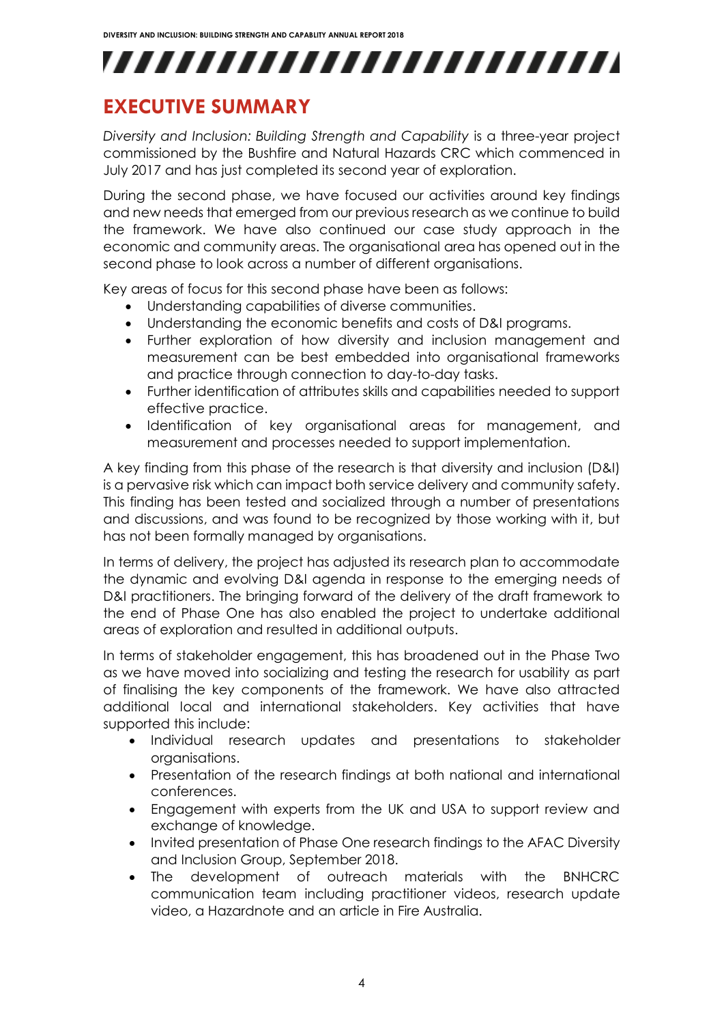## <span id="page-4-0"></span>**EXECUTIVE SUMMARY**

*Diversity and Inclusion: Building Strength and Capability* is a three-year project commissioned by the Bushfire and Natural Hazards CRC which commenced in July 2017 and has just completed its second year of exploration.

During the second phase, we have focused our activities around key findings and new needs that emerged from our previous research as we continue to build the framework. We have also continued our case study approach in the economic and community areas. The organisational area has opened out in the second phase to look across a number of different organisations.

Key areas of focus for this second phase have been as follows:

- Understanding capabilities of diverse communities.
- Understanding the economic benefits and costs of D&I programs.
- Further exploration of how diversity and inclusion management and measurement can be best embedded into organisational frameworks and practice through connection to day-to-day tasks.
- Further identification of attributes skills and capabilities needed to support effective practice.
- Identification of key organisational areas for management, and measurement and processes needed to support implementation.

A key finding from this phase of the research is that diversity and inclusion (D&I) is a pervasive risk which can impact both service delivery and community safety. This finding has been tested and socialized through a number of presentations and discussions, and was found to be recognized by those working with it, but has not been formally managed by organisations.

In terms of delivery, the project has adjusted its research plan to accommodate the dynamic and evolving D&I agenda in response to the emerging needs of D&I practitioners. The bringing forward of the delivery of the draft framework to the end of Phase One has also enabled the project to undertake additional areas of exploration and resulted in additional outputs.

In terms of stakeholder engagement, this has broadened out in the Phase Two as we have moved into socializing and testing the research for usability as part of finalising the key components of the framework. We have also attracted additional local and international stakeholders. Key activities that have supported this include:

- Individual research updates and presentations to stakeholder organisations.
- Presentation of the research findings at both national and international conferences.
- Engagement with experts from the UK and USA to support review and exchange of knowledge.
- Invited presentation of Phase One research findings to the AFAC Diversity and Inclusion Group, September 2018.
- The development of outreach materials with the BNHCRC communication team including practitioner videos, research update video, a Hazardnote and an article in Fire Australia.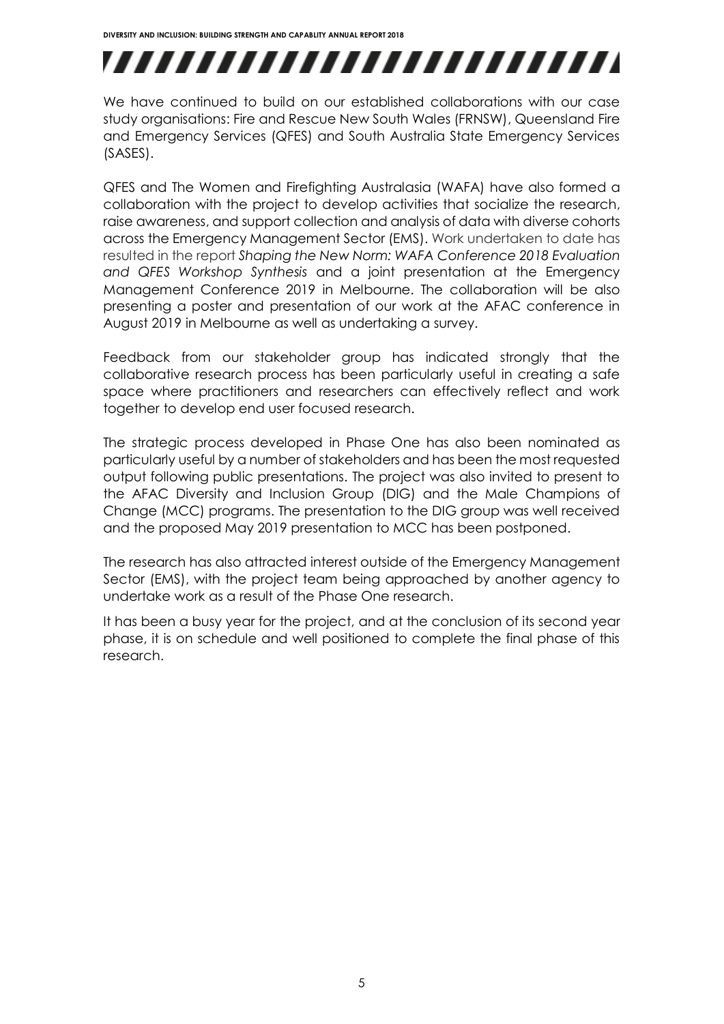# ,,,,,,,,,,,,,,,,,,,,,,,,,

We have continued to build on our established collaborations with our case study organisations: Fire and Rescue New South Wales (FRNSW), Queensland Fire and Emergency Services (QFES) and South Australia State Emergency Services (SASES).

QFES and The Women and Firefighting Australasia (WAFA) have also formed a collaboration with the project to develop activities that socialize the research, raise awareness, and support collection and analysis of data with diverse cohorts across the Emergency Management Sector (EMS). Work undertaken to date has resulted in the report *Shaping the New Norm: WAFA Conference 2018 Evaluation and QFES Workshop Synthesis* and a joint presentation at the Emergency Management Conference 2019 in Melbourne. The collaboration will be also presenting a poster and presentation of our work at the AFAC conference in August 2019 in Melbourne as well as undertaking a survey.

Feedback from our stakeholder group has indicated strongly that the collaborative research process has been particularly useful in creating a safe space where practitioners and researchers can effectively reflect and work together to develop end user focused research.

The strategic process developed in Phase One has also been nominated as particularly useful by a number of stakeholders and has been the most requested output following public presentations. The project was also invited to present to the AFAC Diversity and Inclusion Group (DIG) and the Male Champions of Change (MCC) programs. The presentation to the DIG group was well received and the proposed May 2019 presentation to MCC has been postponed.

The research has also attracted interest outside of the Emergency Management Sector (EMS), with the project team being approached by another agency to undertake work as a result of the Phase One research.

It has been a busy year for the project, and at the conclusion of its second year phase, it is on schedule and well positioned to complete the final phase of this research.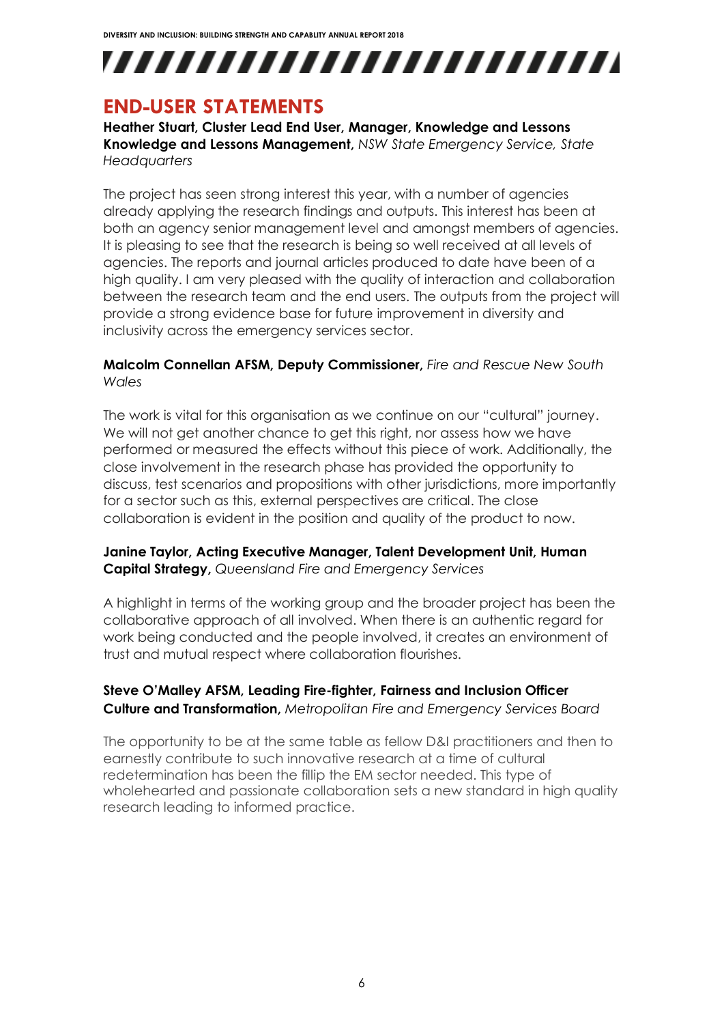## <span id="page-6-0"></span>**END-USER STATEMENTS**

**Heather Stuart, Cluster Lead End User, Manager, Knowledge and Lessons Knowledge and Lessons Management,** *NSW State Emergency Service, State Headquarters*

The project has seen strong interest this year, with a number of agencies already applying the research findings and outputs. This interest has been at both an agency senior management level and amongst members of agencies. It is pleasing to see that the research is being so well received at all levels of agencies. The reports and journal articles produced to date have been of a high quality. I am very pleased with the quality of interaction and collaboration between the research team and the end users. The outputs from the project will provide a strong evidence base for future improvement in diversity and inclusivity across the emergency services sector.

#### **Malcolm Connellan AFSM, Deputy Commissioner,** *Fire and Rescue New South Wales*

The work is vital for this organisation as we continue on our "cultural" journey. We will not get another chance to get this right, nor assess how we have performed or measured the effects without this piece of work. Additionally, the close involvement in the research phase has provided the opportunity to discuss, test scenarios and propositions with other jurisdictions, more importantly for a sector such as this, external perspectives are critical. The close collaboration is evident in the position and quality of the product to now.

#### **Janine Taylor, Acting Executive Manager, Talent Development Unit, Human Capital Strategy,** *Queensland Fire and Emergency Services*

A highlight in terms of the working group and the broader project has been the collaborative approach of all involved. When there is an authentic regard for work being conducted and the people involved, it creates an environment of trust and mutual respect where collaboration flourishes.

#### **Steve O'Malley AFSM, Leading Fire-fighter, Fairness and Inclusion Officer Culture and Transformation,** *Metropolitan Fire and Emergency Services Board*

The opportunity to be at the same table as fellow D&I practitioners and then to earnestly contribute to such innovative research at a time of cultural redetermination has been the fillip the EM sector needed. This type of wholehearted and passionate collaboration sets a new standard in high quality research leading to informed practice.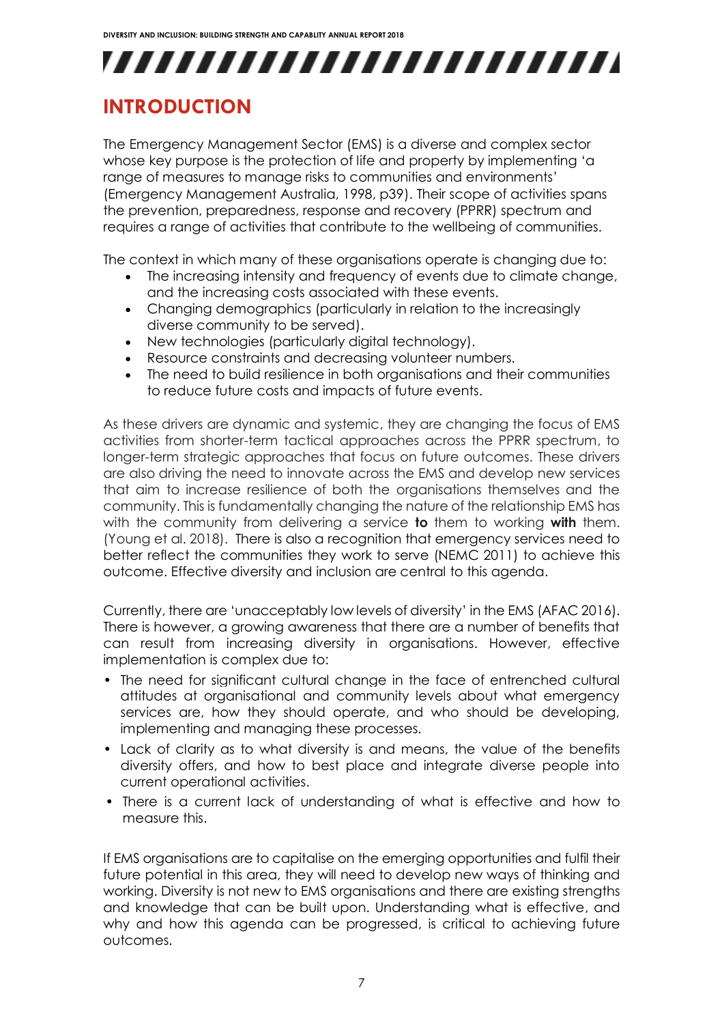## <span id="page-7-0"></span>**INTRODUCTION**

The Emergency Management Sector (EMS) is a diverse and complex sector whose key purpose is the protection of life and property by implementing 'a range of measures to manage risks to communities and environments' (Emergency Management Australia, 1998, p39). Their scope of activities spans the prevention, preparedness, response and recovery (PPRR) spectrum and requires a range of activities that contribute to the wellbeing of communities.

The context in which many of these organisations operate is changing due to:

- The increasing intensity and frequency of events due to climate change, and the increasing costs associated with these events.
- Changing demographics (particularly in relation to the increasingly diverse community to be served).
- New technologies (particularly digital technology).
- Resource constraints and decreasing volunteer numbers.
- The need to build resilience in both organisations and their communities to reduce future costs and impacts of future events.

As these drivers are dynamic and systemic, they are changing the focus of EMS activities from shorter-term tactical approaches across the PPRR spectrum, to longer-term strategic approaches that focus on future outcomes. These drivers are also driving the need to innovate across the EMS and develop new services that aim to increase resilience of both the organisations themselves and the community. This is fundamentally changing the nature of the relationship EMS has with the community from delivering a service **to** them to working **with** them. (Young et al. 2018). There is also a recognition that emergency services need to better reflect the communities they work to serve (NEMC 2011) to achieve this outcome. Effective diversity and inclusion are central to this agenda.

Currently, there are 'unacceptably low levels of diversity' in the EMS (AFAC 2016). There is however, a growing awareness that there are a number of benefits that can result from increasing diversity in organisations. However, effective implementation is complex due to:

- The need for significant cultural change in the face of entrenched cultural attitudes at organisational and community levels about what emergency services are, how they should operate, and who should be developing, implementing and managing these processes.
- Lack of clarity as to what diversity is and means, the value of the benefits diversity offers, and how to best place and integrate diverse people into current operational activities.
- There is a current lack of understanding of what is effective and how to measure this.

If EMS organisations are to capitalise on the emerging opportunities and fulfil their future potential in this area, they will need to develop new ways of thinking and working. Diversity is not new to EMS organisations and there are existing strengths and knowledge that can be built upon. Understanding what is effective, and why and how this agenda can be progressed, is critical to achieving future outcomes.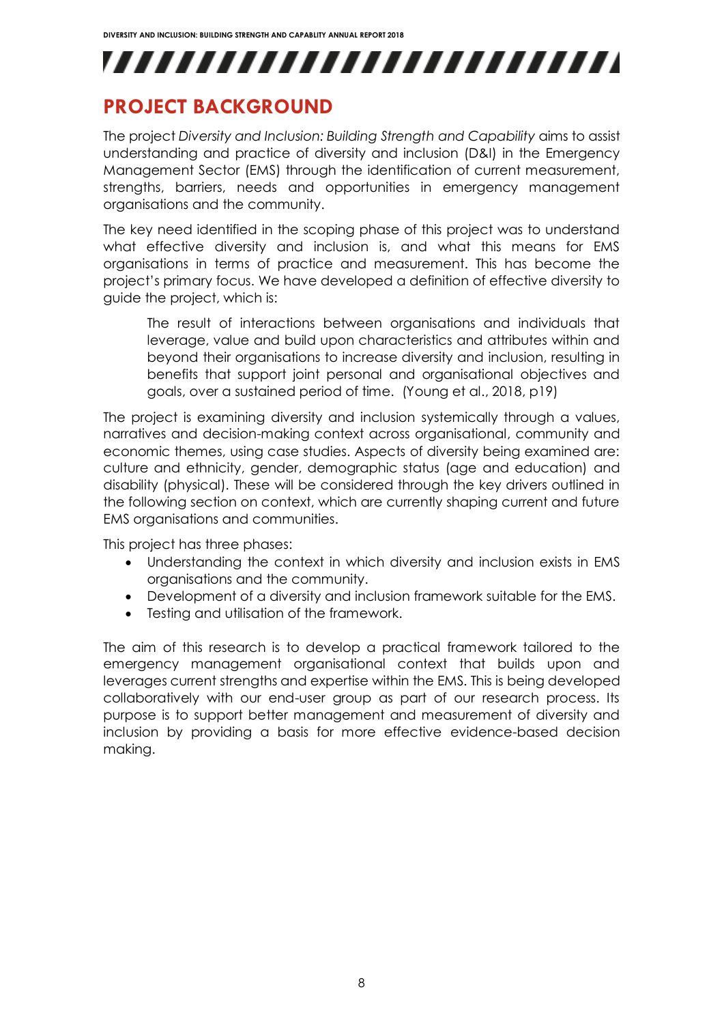## <span id="page-8-0"></span>**PROJECT BACKGROUND**

The project *Diversity and Inclusion: Building Strength and Capability* aims to assist understanding and practice of diversity and inclusion (D&I) in the Emergency Management Sector (EMS) through the identification of current measurement, strengths, barriers, needs and opportunities in emergency management organisations and the community.

The key need identified in the scoping phase of this project was to understand what effective diversity and inclusion is, and what this means for EMS organisations in terms of practice and measurement. This has become the project's primary focus. We have developed a definition of effective diversity to guide the project, which is:

The result of interactions between organisations and individuals that leverage, value and build upon characteristics and attributes within and beyond their organisations to increase diversity and inclusion, resulting in benefits that support joint personal and organisational objectives and goals, over a sustained period of time. (Young et al., 2018, p19)

The project is examining diversity and inclusion systemically through a values, narratives and decision-making context across organisational, community and economic themes, using case studies. Aspects of diversity being examined are: culture and ethnicity, gender, demographic status (age and education) and disability (physical). These will be considered through the key drivers outlined in the following section on context, which are currently shaping current and future EMS organisations and communities.

This project has three phases:

- Understanding the context in which diversity and inclusion exists in EMS organisations and the community.
- Development of a diversity and inclusion framework suitable for the EMS.
- Testing and utilisation of the framework.

The aim of this research is to develop a practical framework tailored to the emergency management organisational context that builds upon and leverages current strengths and expertise within the EMS. This is being developed collaboratively with our end-user group as part of our research process. Its purpose is to support better management and measurement of diversity and inclusion by providing a basis for more effective evidence-based decision making.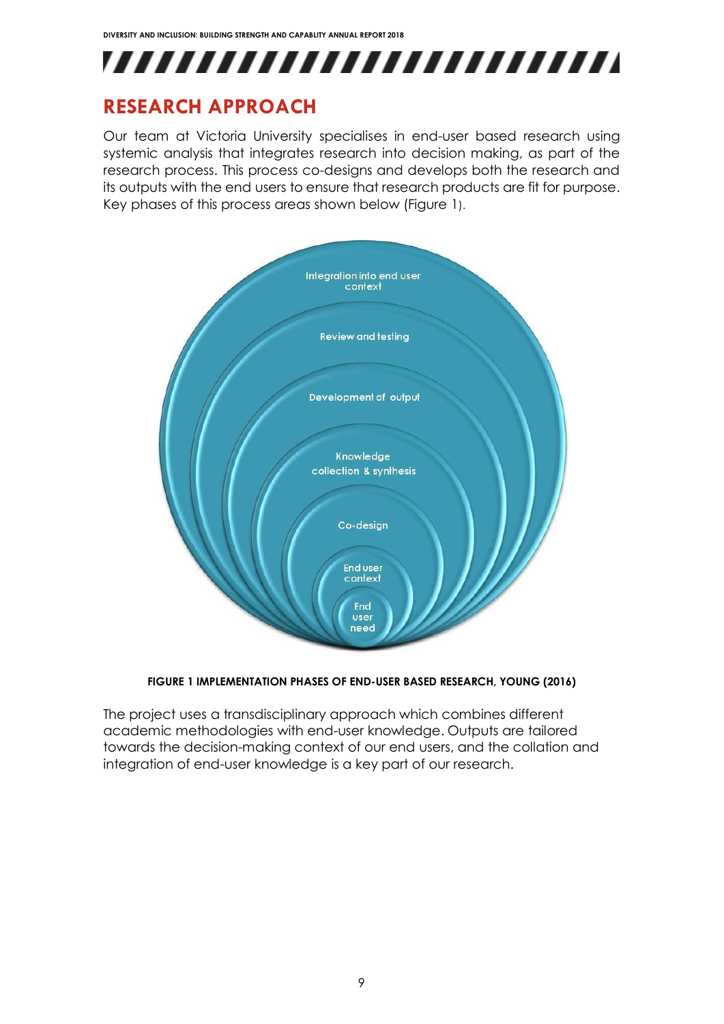

## <span id="page-9-0"></span>**RESEARCH APPROACH**

Our team at Victoria University specialises in end-user based research using systemic analysis that integrates research into decision making, as part of the research process. This process co-designs and develops both the research and its outputs with the end users to ensure that research products are fit for purpose. Key phases of this process areas shown below (Figure 1).



#### **FIGURE 1 IMPLEMENTATION PHASES OF END-USER BASED RESEARCH, YOUNG (2016)**

The project uses a transdisciplinary approach which combines different academic methodologies with end-user knowledge. Outputs are tailored towards the decision-making context of our end users, and the collation and integration of end-user knowledge is a key part of our research.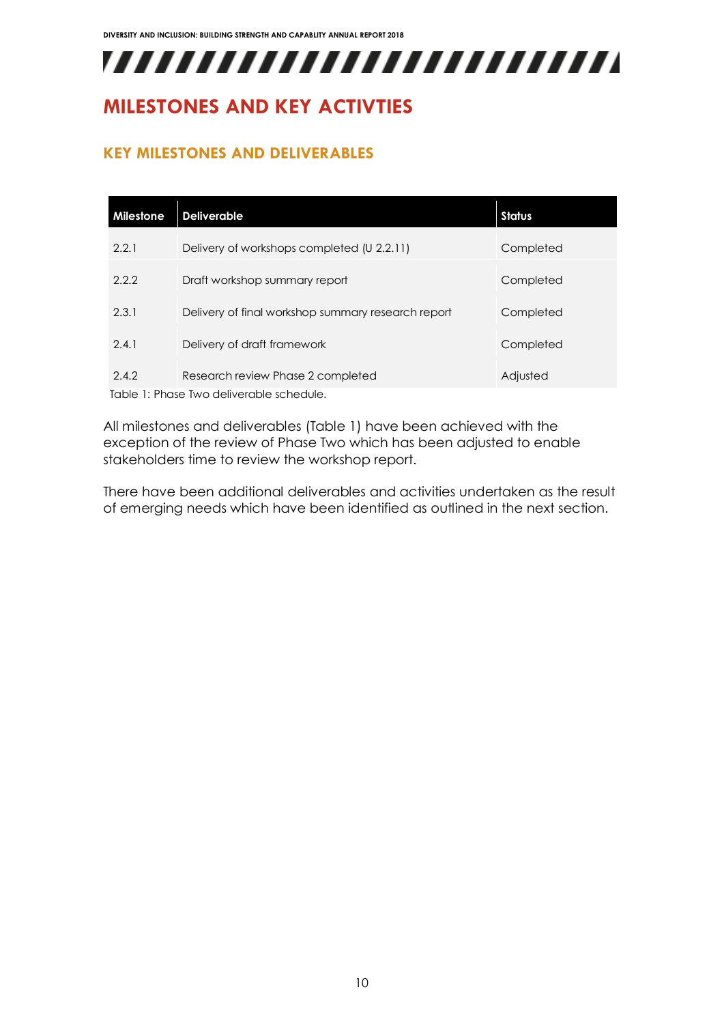## <span id="page-10-0"></span>**MILESTONES AND KEY ACTIVTIES**

#### <span id="page-10-1"></span>**KEY MILESTONES AND DELIVERABLES**

| Milestone                                | <b>Deliverable</b>                                 | <b>Status</b> |  |  |
|------------------------------------------|----------------------------------------------------|---------------|--|--|
| 2.2.1                                    | Delivery of workshops completed (U 2.2.11)         | Completed     |  |  |
| 2.2.2                                    | Draft workshop summary report                      | Completed     |  |  |
| 2.3.1                                    | Delivery of final workshop summary research report | Completed     |  |  |
| 2.4.1                                    | Delivery of draft framework                        | Completed     |  |  |
| 2.4.2                                    | Research review Phase 2 completed                  | Adjusted      |  |  |
| Table 1: Phase Two deliverable schedule. |                                                    |               |  |  |

All milestones and deliverables (Table 1) have been achieved with the exception of the review of Phase Two which has been adjusted to enable stakeholders time to review the workshop report.

There have been additional deliverables and activities undertaken as the result of emerging needs which have been identified as outlined in the next section.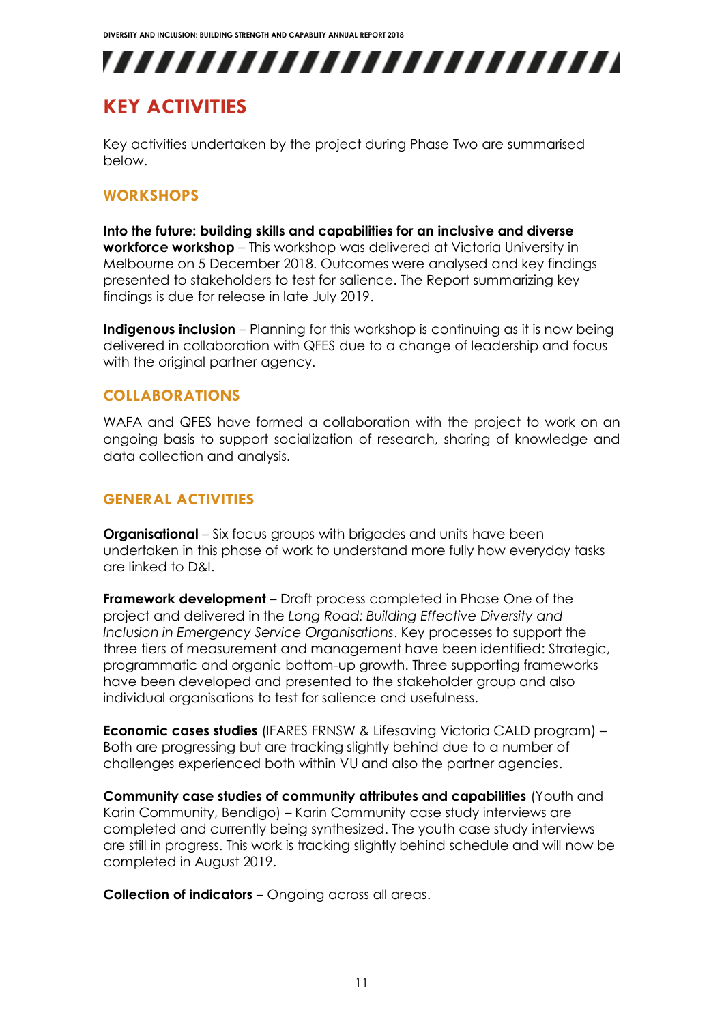## <span id="page-11-0"></span>**KEY ACTIVITIES**

Key activities undertaken by the project during Phase Two are summarised below.

#### <span id="page-11-1"></span>**WORKSHOPS**

**Into the future: building skills and capabilities for an inclusive and diverse workforce workshop** – This workshop was delivered at Victoria University in Melbourne on 5 December 2018. Outcomes were analysed and key findings presented to stakeholders to test for salience. The Report summarizing key findings is due for release in late July 2019.

**Indigenous inclusion** – Planning for this workshop is continuing as it is now being delivered in collaboration with QFES due to a change of leadership and focus with the original partner agency.

#### <span id="page-11-2"></span>**COLLABORATIONS**

WAFA and QFES have formed a collaboration with the project to work on an ongoing basis to support socialization of research, sharing of knowledge and data collection and analysis.

#### <span id="page-11-3"></span>**GENERAL ACTIVITIES**

**Organisational** – Six focus groups with brigades and units have been undertaken in this phase of work to understand more fully how everyday tasks are linked to D&I.

**Framework development** – Draft process completed in Phase One of the project and delivered in the *Long Road: Building Effective Diversity and Inclusion in Emergency Service Organisations*. Key processes to support the three tiers of measurement and management have been identified: Strategic, programmatic and organic bottom-up growth. Three supporting frameworks have been developed and presented to the stakeholder group and also individual organisations to test for salience and usefulness.

**Economic cases studies** (IFARES FRNSW & Lifesaving Victoria CALD program) – Both are progressing but are tracking slightly behind due to a number of challenges experienced both within VU and also the partner agencies.

**Community case studies of community attributes and capabilities** (Youth and Karin Community, Bendigo) – Karin Community case study interviews are completed and currently being synthesized. The youth case study interviews are still in progress. This work is tracking slightly behind schedule and will now be completed in August 2019.

**Collection of indicators** – Ongoing across all areas.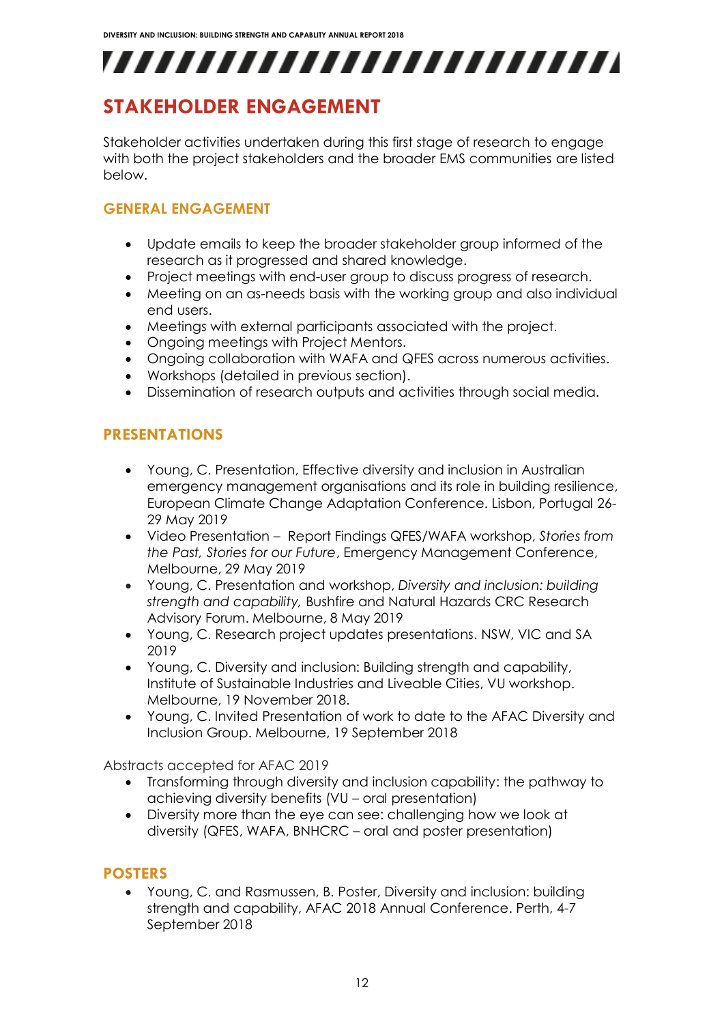## <span id="page-12-0"></span>**STAKEHOLDER ENGAGEMENT**

Stakeholder activities undertaken during this first stage of research to engage with both the project stakeholders and the broader EMS communities are listed below.

#### **GENERAL ENGAGEMENT**

- Update emails to keep the broader stakeholder group informed of the research as it progressed and shared knowledge.
- Project meetings with end-user group to discuss progress of research.
- Meeting on an as-needs basis with the working group and also individual end users.
- Meetings with external participants associated with the project.
- Ongoing meetings with Project Mentors.
- Ongoing collaboration with WAFA and QFES across numerous activities.
- Workshops (detailed in previous section).
- Dissemination of research outputs and activities through social media.

#### <span id="page-12-1"></span>**PRESENTATIONS**

- Young, C. Presentation, Effective diversity and inclusion in Australian emergency management organisations and its role in building resilience, European Climate Change Adaptation Conference. Lisbon, Portugal 26- 29 May 2019
- Video Presentation Report Findings QFES/WAFA workshop, *Stories from the Past, Stories for our Future*, Emergency Management Conference, Melbourne, 29 May 2019
- Young, C. Presentation and workshop, *Diversity and inclusion: building strength and capability,* Bushfire and Natural Hazards CRC Research Advisory Forum. Melbourne, 8 May 2019
- Young, C. Research project updates presentations. NSW, VIC and SA 2019
- Young, C. Diversity and inclusion: Building strength and capability, Institute of Sustainable Industries and Liveable Cities, VU workshop. Melbourne, 19 November 2018.
- Young, C. Invited Presentation of work to date to the AFAC Diversity and Inclusion Group. Melbourne, 19 September 2018

Abstracts accepted for AFAC 2019

- Transforming through diversity and inclusion capability: the pathway to achieving diversity benefits (VU – oral presentation)
- Diversity more than the eye can see: challenging how we look at diversity (QFES, WAFA, BNHCRC – oral and poster presentation)

#### <span id="page-12-2"></span>**POSTERS**

 Young, C. and Rasmussen, B. Poster, Diversity and inclusion: building strength and capability, AFAC 2018 Annual Conference. Perth, 4-7 September 2018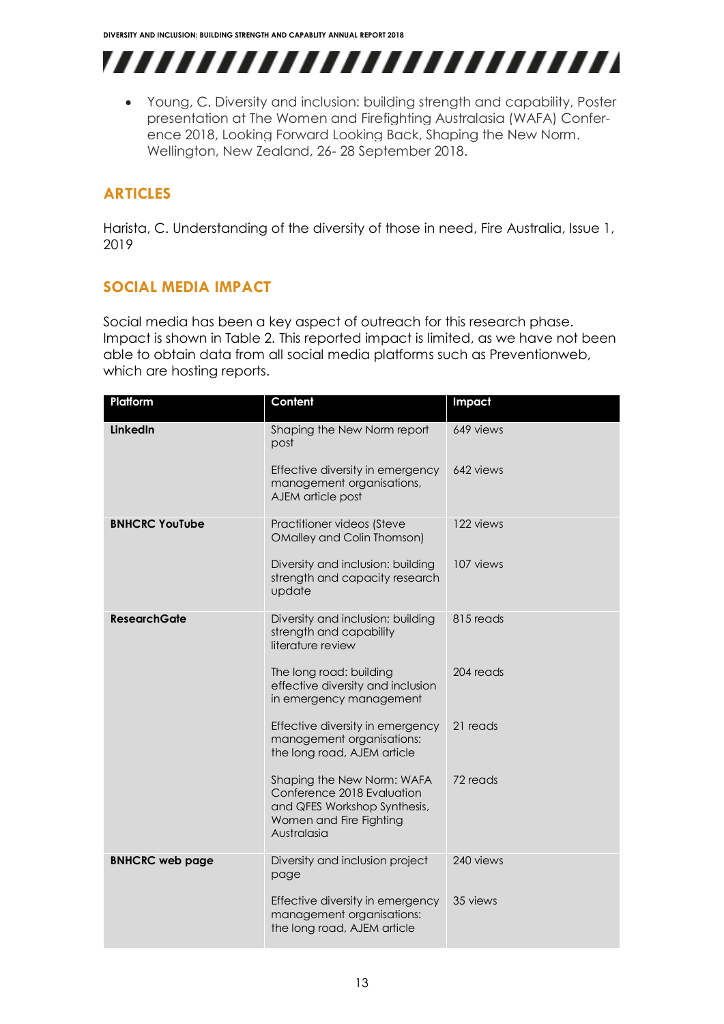,,,,,,,,,,,,,,,,,,,,,,,,,

 Young, C. Diversity and inclusion: building strength and capability, Poster presentation at The Women and Firefighting Australasia (WAFA) Conference 2018, Looking Forward Looking Back, Shaping the New Norm. Wellington, New Zealand, 26- 28 September 2018.

### <span id="page-13-0"></span>**ARTICLES**

Harista, C. Understanding of the diversity of those in need, Fire Australia, Issue 1, 2019

### <span id="page-13-1"></span>**SOCIAL MEDIA IMPACT**

Social media has been a key aspect of outreach for this research phase. Impact is shown in Table 2. This reported impact is limited, as we have not been able to obtain data from all social media platforms such as Preventionweb, which are hosting reports.

| Platform               | Content                                                                                                                            | Impact    |
|------------------------|------------------------------------------------------------------------------------------------------------------------------------|-----------|
| LinkedIn               | Shaping the New Norm report<br>post                                                                                                | 649 views |
|                        | Effective diversity in emergency<br>management organisations,<br>AJEM article post                                                 | 642 views |
| <b>BNHCRC YouTube</b>  | Practitioner videos (Steve<br><b>OMalley and Colin Thomson)</b>                                                                    | 122 views |
|                        | Diversity and inclusion: building<br>strength and capacity research<br>update                                                      | 107 views |
| <b>ResearchGate</b>    | Diversity and inclusion: building<br>strength and capability<br>literature review                                                  | 815 reads |
|                        | The long road: building<br>effective diversity and inclusion<br>in emergency management                                            | 204 reads |
|                        | Effective diversity in emergency<br>management organisations:<br>the long road, AJEM article                                       | 21 reads  |
|                        | Shaping the New Norm: WAFA<br>Conference 2018 Evaluation<br>and QFES Workshop Synthesis,<br>Women and Fire Fighting<br>Australasia | 72 reads  |
| <b>BNHCRC web page</b> | Diversity and inclusion project<br>page                                                                                            | 240 views |
|                        | Effective diversity in emergency<br>management organisations:<br>the long road, AJEM article                                       | 35 views  |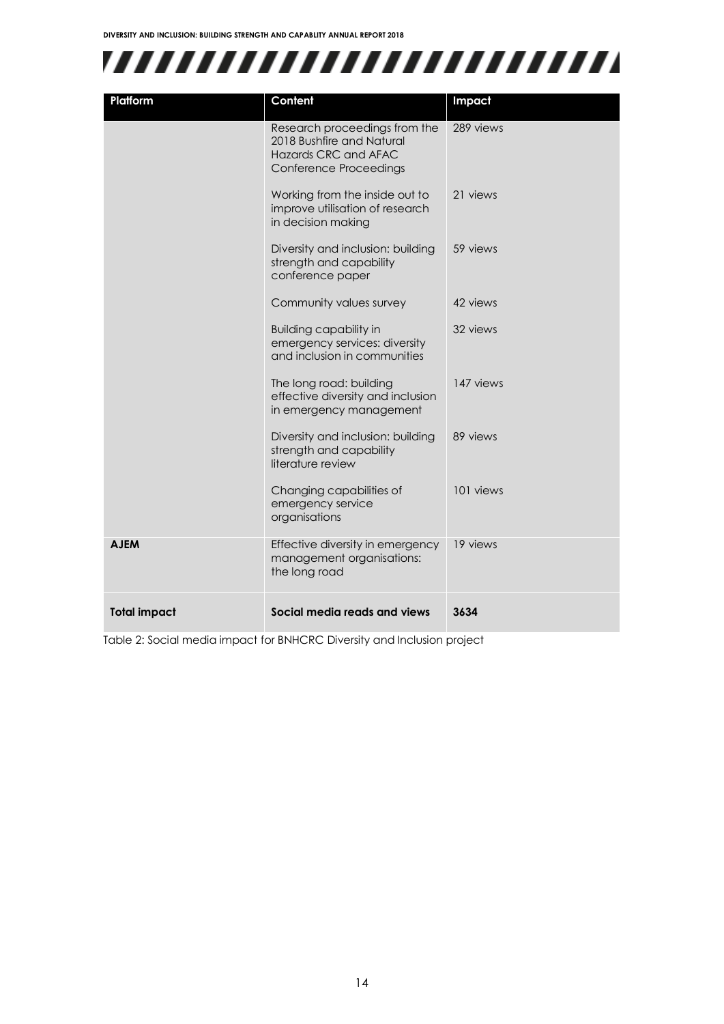

| Platform            | Content                                                                                                             | Impact    |
|---------------------|---------------------------------------------------------------------------------------------------------------------|-----------|
|                     | Research proceedings from the<br>2018 Bushfire and Natural<br><b>Hazards CRC and AFAC</b><br>Conference Proceedings | 289 views |
|                     | Working from the inside out to<br>improve utilisation of research<br>in decision making                             | 21 views  |
|                     | Diversity and inclusion: building<br>strength and capability<br>conference paper                                    | 59 views  |
|                     | Community values survey                                                                                             | 42 views  |
|                     | <b>Building capability in</b><br>emergency services: diversity<br>and inclusion in communities                      | 32 views  |
|                     | The long road: building<br>effective diversity and inclusion<br>in emergency management                             | 147 views |
|                     | Diversity and inclusion: building<br>strength and capability<br>literature review                                   | 89 views  |
|                     | Changing capabilities of<br>emergency service<br>organisations                                                      | 101 views |
| <b>AJEM</b>         | Effective diversity in emergency<br>management organisations:<br>the long road                                      | 19 views  |
| <b>Total impact</b> | Social media reads and views                                                                                        | 3634      |

Table 2: Social media impact for BNHCRC Diversity and Inclusion project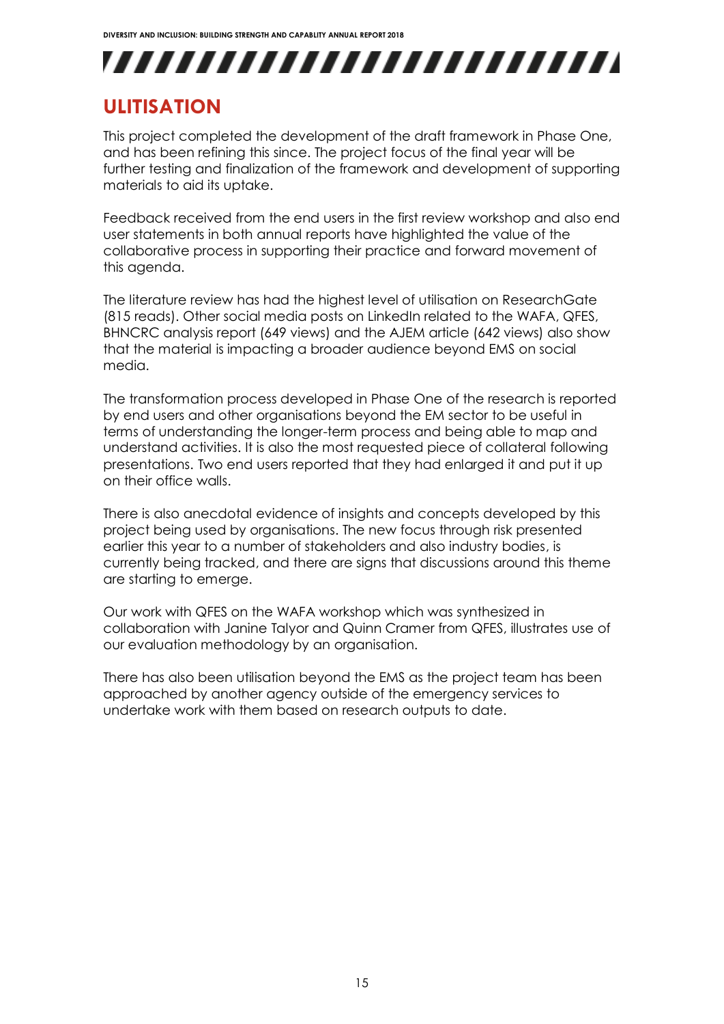## ,,,,,,,,,,,,,,,,,,,,,,,,,

## <span id="page-15-0"></span>**ULITISATION**

This project completed the development of the draft framework in Phase One, and has been refining this since. The project focus of the final year will be further testing and finalization of the framework and development of supporting materials to aid its uptake.

Feedback received from the end users in the first review workshop and also end user statements in both annual reports have highlighted the value of the collaborative process in supporting their practice and forward movement of this agenda.

The literature review has had the highest level of utilisation on ResearchGate (815 reads). Other social media posts on LinkedIn related to the WAFA, QFES, BHNCRC analysis report (649 views) and the AJEM article (642 views) also show that the material is impacting a broader audience beyond EMS on social media.

The transformation process developed in Phase One of the research is reported by end users and other organisations beyond the EM sector to be useful in terms of understanding the longer-term process and being able to map and understand activities. It is also the most requested piece of collateral following presentations. Two end users reported that they had enlarged it and put it up on their office walls.

There is also anecdotal evidence of insights and concepts developed by this project being used by organisations. The new focus through risk presented earlier this year to a number of stakeholders and also industry bodies, is currently being tracked, and there are signs that discussions around this theme are starting to emerge.

Our work with QFES on the WAFA workshop which was synthesized in collaboration with Janine Talyor and Quinn Cramer from QFES, illustrates use of our evaluation methodology by an organisation.

There has also been utilisation beyond the EMS as the project team has been approached by another agency outside of the emergency services to undertake work with them based on research outputs to date.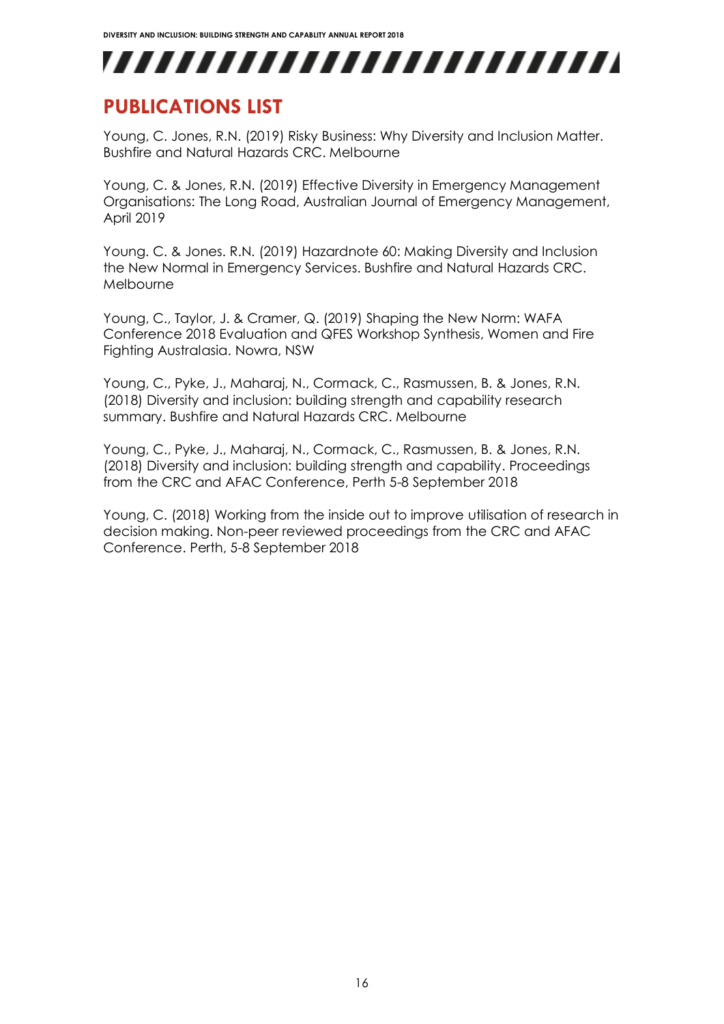## <span id="page-16-0"></span>**PUBLICATIONS LIST**

Young, C. Jones, R.N. (2019) Risky Business: Why Diversity and Inclusion Matter. Bushfire and Natural Hazards CRC. Melbourne

Young, C. & Jones, R.N. (2019) Effective Diversity in Emergency Management Organisations: The Long Road, Australian Journal of Emergency Management, April 2019

Young. C. & Jones. R.N. (2019) Hazardnote 60: Making Diversity and Inclusion the New Normal in Emergency Services. Bushfire and Natural Hazards CRC. Melbourne

Young, C., Taylor, J. & Cramer, Q. (2019) Shaping the New Norm: WAFA Conference 2018 Evaluation and QFES Workshop Synthesis, Women and Fire Fighting Australasia. Nowra, NSW

Young, C., Pyke, J., Maharaj, N., Cormack, C., Rasmussen, B. & Jones, R.N. (2018) Diversity and inclusion: building strength and capability research summary. Bushfire and Natural Hazards CRC. Melbourne

Young, C., Pyke, J., Maharaj, N., Cormack, C., Rasmussen, B. & Jones, R.N. (2018) Diversity and inclusion: building strength and capability. Proceedings from the CRC and AFAC Conference, Perth 5-8 September 2018

Young, C. (2018) Working from the inside out to improve utilisation of research in decision making. Non-peer reviewed proceedings from the CRC and AFAC Conference. Perth, 5-8 September 2018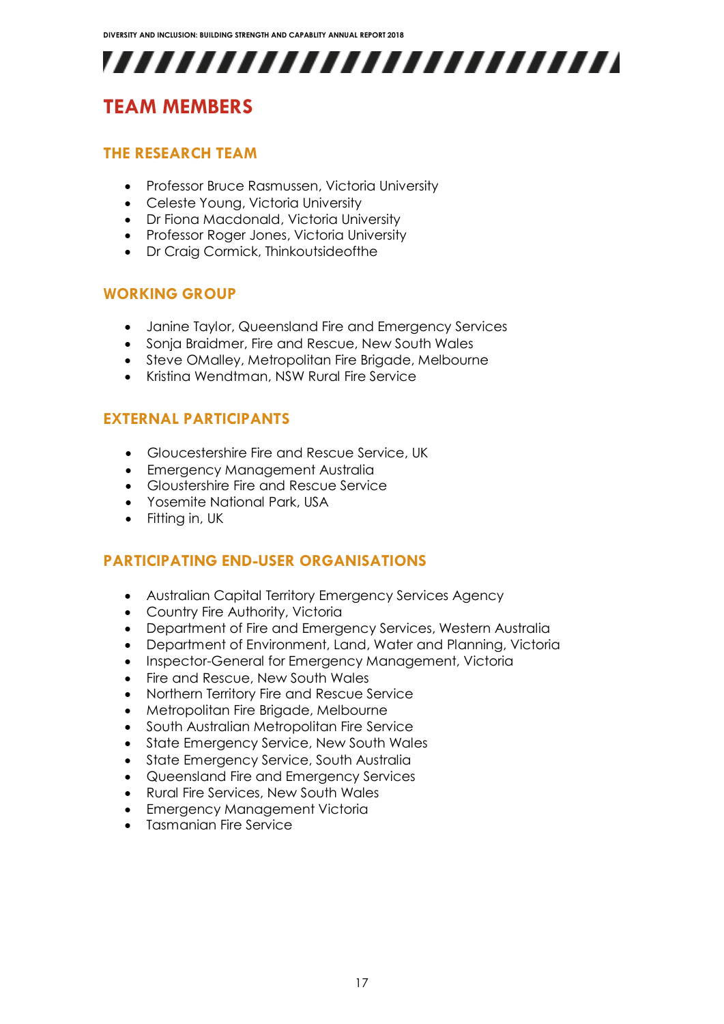## <span id="page-17-1"></span><span id="page-17-0"></span>**TEAM MEMBERS**

#### **THE RESEARCH TEAM**

- Professor Bruce Rasmussen, Victoria University
- Celeste Young, Victoria University
- Dr Fiona Macdonald, Victoria University
- Professor Roger Jones, Victoria University
- Dr Craia Cormick, Thinkoutsideofthe

#### <span id="page-17-2"></span>**WORKING GROUP**

- Janine Taylor, Queensland Fire and Emergency Services
- Sonja Braidmer, Fire and Rescue, New South Wales
- Steve OMalley, Metropolitan Fire Brigade, Melbourne
- Kristina Wendtman, NSW Rural Fire Service

#### <span id="page-17-3"></span>**EXTERNAL PARTICIPANTS**

- Gloucestershire Fire and Rescue Service, UK
- Emergency Management Australia
- **Gloustershire Fire and Rescue Service**
- Yosemite National Park, USA
- Fitting in, UK

#### <span id="page-17-4"></span>**PARTICIPATING END-USER ORGANISATIONS**

- Australian Capital Territory Emergency Services Agency
- Country Fire Authority, Victoria
- Department of Fire and Emergency Services, Western Australia
- Department of Environment, Land, Water and Planning, Victoria
- Inspector-General for Emergency Management, Victoria
- Fire and Rescue, New South Wales
- Northern Territory Fire and Rescue Service
- Metropolitan Fire Brigade, Melbourne
- South Australian Metropolitan Fire Service
- State Emergency Service, New South Wales
- State Emergency Service, South Australia
- Queensland Fire and Emergency Services
- Rural Fire Services, New South Wales
- Emergency Management Victoria
- Tasmanian Fire Service